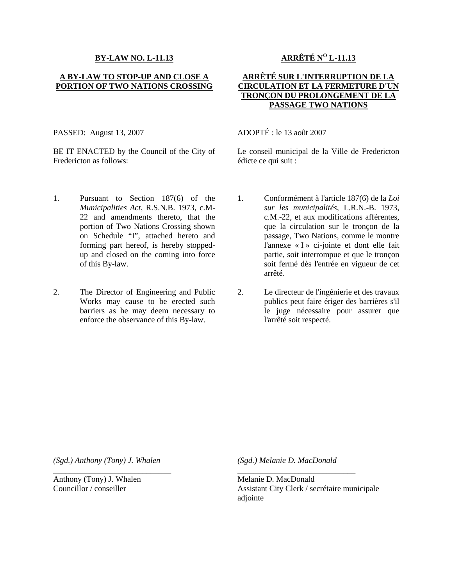#### **BY-LAW NO. L-11.13**

### **A BY-LAW TO STOP-UP AND CLOSE A PORTION OF TWO NATIONS CROSSING**

# **ARRÊTÉ N<sup>O</sup> L-11.13**

# **ARRÊTÉ SUR L'INTERRUPTION DE LA CIRCULATION ET LA FERMETURE D'UN TRONÇON DU PROLONGEMENT DE LA PASSAGE TWO NATIONS**

PASSED: August 13, 2007

BE IT ENACTED by the Council of the City of Fredericton as follows:

# ADOPTÉ : le 13 août 2007

Le conseil municipal de la Ville de Fredericton édicte ce qui suit :

- 1. Pursuant to Section 187(6) of the *Municipalities Act*, R.S.N.B. 1973, c.M-22 and amendments thereto, that the portion of Two Nations Crossing shown on Schedule "I", attached hereto and forming part hereof, is hereby stoppedup and closed on the coming into force of this By-law.
- 2. The Director of Engineering and Public Works may cause to be erected such barriers as he may deem necessary to enforce the observance of this By-law.
- 1. Conformément à l'article 187(6) de la *Loi sur les municipalités*, L.R.N.-B. 1973, c.M.-22, et aux modifications afférentes, que la circulation sur le tronçon de la passage, Two Nations, comme le montre l'annexe « I » ci-jointe et dont elle fait partie, soit interrompue et que le tronçon soit fermé dès l'entrée en vigueur de cet arrêté.
- 2. Le directeur de l'ingénierie et des travaux publics peut faire ériger des barrières s'il le juge nécessaire pour assurer que l'arrêté soit respecté.

*(Sgd.) Anthony (Tony) J. Whalen*

\_\_\_\_\_\_\_\_\_\_\_\_\_\_\_\_\_\_\_\_\_\_\_\_\_\_\_\_\_

Anthony (Tony) J. Whalen Councillor / conseiller

*(Sgd.) Melanie D. MacDonald*

\_\_\_\_\_\_\_\_\_\_\_\_\_\_\_\_\_\_\_\_\_\_\_\_\_\_\_\_\_

Melanie D. MacDonald Assistant City Clerk / secrétaire municipale adjointe